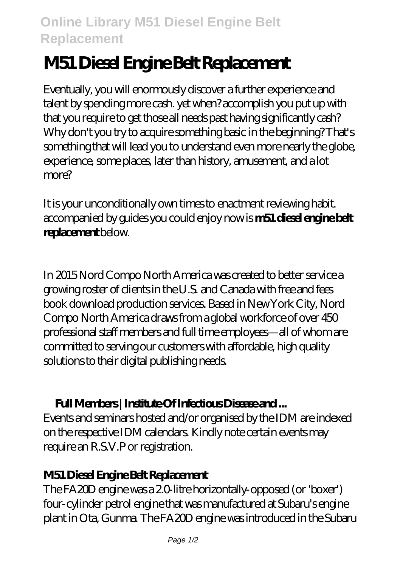# **M51 Diesel Engine Belt Replacement**

Eventually, you will enormously discover a further experience and talent by spending more cash. yet when? accomplish you put up with that you require to get those all needs past having significantly cash? Why don't you try to acquire something basic in the beginning? That's something that will lead you to understand even more nearly the globe, experience, some places, later than history, amusement, and a lot more?

It is your unconditionally own times to enactment reviewing habit. accompanied by guides you could enjoy now is **m51 diesel engine belt replacement** below.

In 2015 Nord Compo North America was created to better service a growing roster of clients in the U.S. and Canada with free and fees book download production services. Based in New York City, Nord Compo North America draws from a global workforce of over 450 professional staff members and full time employees—all of whom are committed to serving our customers with affordable, high quality solutions to their digital publishing needs.

## **Full Members | Institute Of Infectious Disease and ...**

Events and seminars hosted and/or organised by the IDM are indexed on the respective IDM calendars. Kindly note certain events may require an R.S.V.P or registration.

## **M51 Diesel Engine Belt Replacement**

The FA20D engine was a 2.0-litre horizontally-opposed (or 'boxer') four-cylinder petrol engine that was manufactured at Subaru's engine plant in Ota, Gunma. The FA20D engine was introduced in the Subaru